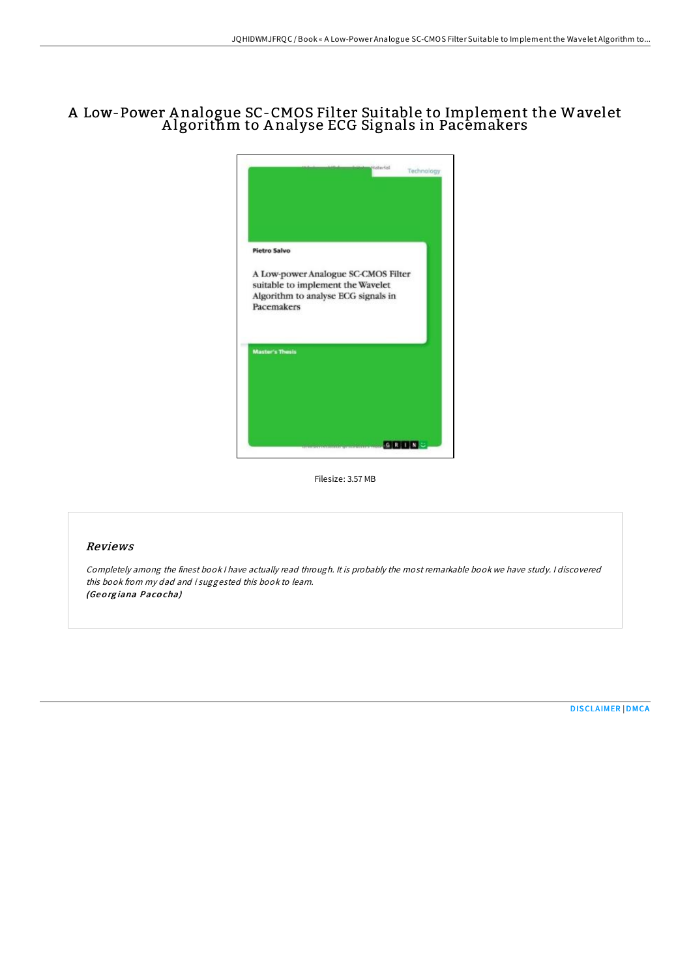# A Low-Power A nalogue SC-CMOS Filter Suitable to Implement the Wavelet A lgorithm to A nalyse ECG Signals in Pacemakers



Filesize: 3.57 MB

## Reviews

Completely among the finest book <sup>I</sup> have actually read through. It is probably the most remarkable book we have study. <sup>I</sup> discovered this book from my dad and i suggested this book to learn. (Geo rg iana Paco cha)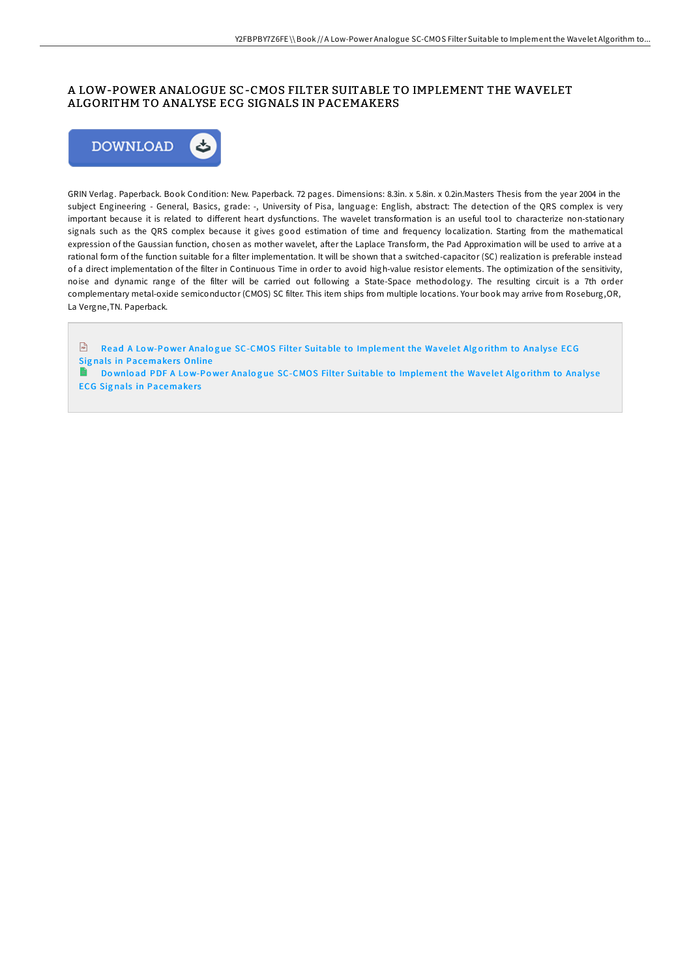## A LOW-POWER ANALOGUE SC-CMOS FILTER SUITABLE TO IMPLEMENT THE WAVELET ALGORITHM TO ANALYSE ECG SIGNALS IN PACEMAKERS



GRIN Verlag. Paperback. Book Condition: New. Paperback. 72 pages. Dimensions: 8.3in. x 5.8in. x 0.2in.Masters Thesis from the year 2004 in the subject Engineering - General, Basics, grade: -, University of Pisa, language: English, abstract: The detection of the QRS complex is very important because it is related to different heart dysfunctions. The wavelet transformation is an useful tool to characterize non-stationary signals such as the QRS complex because it gives good estimation of time and frequency localization. Starting from the mathematical expression of the Gaussian function, chosen as mother wavelet, after the Laplace Transform, the Pad Approximation will be used to arrive at a rational form of the function suitable for a filter implementation. It will be shown that a switched-capacitor (SC) realization is preferable instead of a direct implementation of the filter in Continuous Time in order to avoid high-value resistor elements. The optimization of the sensitivity, noise and dynamic range of the filter will be carried out following a State-Space methodology. The resulting circuit is a 7th order complementary metal-oxide semiconductor (CMOS) SC filter. This item ships from multiple locations. Your book may arrive from Roseburg,OR, La Vergne,TN. Paperback.

Read A Low-Power Analogue SC-CMOS Filter Suitable to [Implement](http://almighty24.tech/a-low-power-analogue-sc-cmos-filter-suitable-to-.html) the Wavelet Algorithm to Analyse ECG Signals in Pacemakers Online

 $\Rightarrow$ Download PDF A Low-Power Analogue SC-CMOS Filter Suitable to [Implement](http://almighty24.tech/a-low-power-analogue-sc-cmos-filter-suitable-to-.html) the Wavelet Algorithm to Analyse **ECG Signals in Pacemakers**